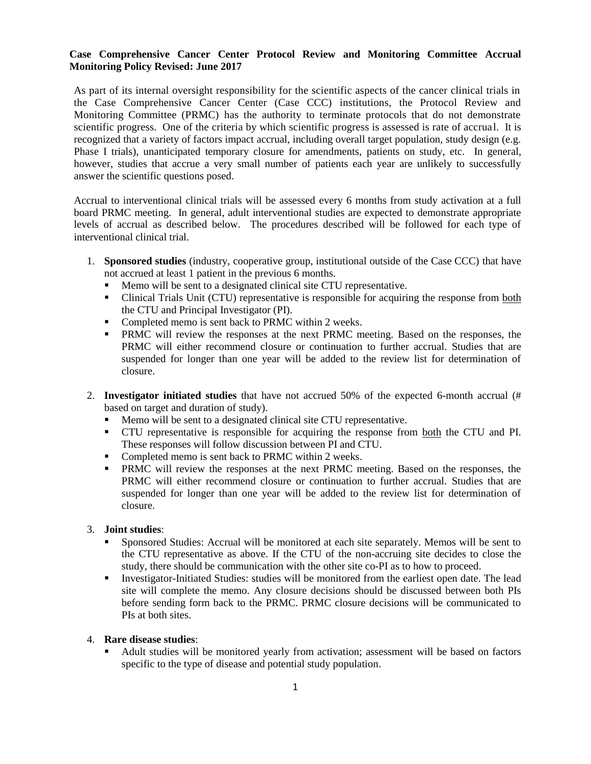## **Case Comprehensive Cancer Center Protocol Review and Monitoring Committee Accrual Monitoring Policy Revised: June 2017**

As part of its internal oversight responsibility for the scientific aspects of the cancer clinical trials in the Case Comprehensive Cancer Center (Case CCC) institutions, the Protocol Review and Monitoring Committee (PRMC) has the authority to terminate protocols that do not demonstrate scientific progress. One of the criteria by which scientific progress is assessed is rate of accrual. It is recognized that a variety of factors impact accrual, including overall target population, study design (e.g. Phase I trials), unanticipated temporary closure for amendments, patients on study, etc. In general, however, studies that accrue a very small number of patients each year are unlikely to successfully answer the scientific questions posed.

Accrual to interventional clinical trials will be assessed every 6 months from study activation at a full board PRMC meeting. In general, adult interventional studies are expected to demonstrate appropriate levels of accrual as described below. The procedures described will be followed for each type of interventional clinical trial.

- 1. **Sponsored studies** (industry, cooperative group, institutional outside of the Case CCC) that have not accrued at least 1 patient in the previous 6 months.
	- Memo will be sent to a designated clinical site CTU representative.
	- Clinical Trials Unit (CTU) representative is responsible for acquiring the response from both the CTU and Principal Investigator (PI).
	- Completed memo is sent back to PRMC within 2 weeks.
	- PRMC will review the responses at the next PRMC meeting. Based on the responses, the PRMC will either recommend closure or continuation to further accrual. Studies that are suspended for longer than one year will be added to the review list for determination of closure.
- 2. **Investigator initiated studies** that have not accrued 50% of the expected 6-month accrual (# based on target and duration of study).
	- Memo will be sent to a designated clinical site CTU representative.
	- CTU representative is responsible for acquiring the response from both the CTU and PI. These responses will follow discussion between PI and CTU.
	- Completed memo is sent back to PRMC within 2 weeks.
	- **PRMC** will review the responses at the next PRMC meeting. Based on the responses, the PRMC will either recommend closure or continuation to further accrual. Studies that are suspended for longer than one year will be added to the review list for determination of closure.

## 3. **Joint studies**:

- Sponsored Studies: Accrual will be monitored at each site separately. Memos will be sent to the CTU representative as above. If the CTU of the non-accruing site decides to close the study, there should be communication with the other site co-PI as to how to proceed.
- **Investigator-Initiated Studies: studies will be monitored from the earliest open date. The lead** site will complete the memo. Any closure decisions should be discussed between both PIs before sending form back to the PRMC. PRMC closure decisions will be communicated to PIs at both sites.
- 4. **Rare disease studies**:
	- Adult studies will be monitored yearly from activation; assessment will be based on factors specific to the type of disease and potential study population.